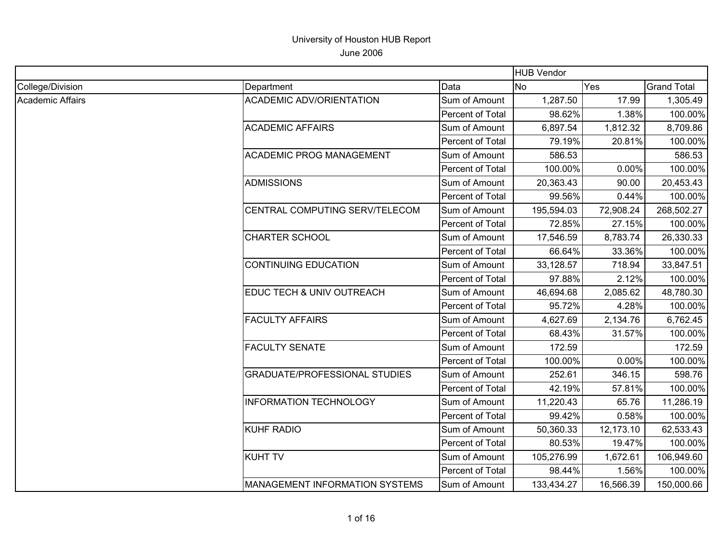|                  |                                      |                  | <b>HUB Vendor</b> |           |                    |
|------------------|--------------------------------------|------------------|-------------------|-----------|--------------------|
| College/Division | Department                           | Data             | <b>No</b>         | Yes       | <b>Grand Total</b> |
| Academic Affairs | <b>ACADEMIC ADV/ORIENTATION</b>      | Sum of Amount    | 1,287.50          | 17.99     | 1,305.49           |
|                  |                                      | Percent of Total | 98.62%            | 1.38%     | 100.00%            |
|                  | <b>ACADEMIC AFFAIRS</b>              | Sum of Amount    | 6,897.54          | 1,812.32  | 8,709.86           |
|                  |                                      | Percent of Total | 79.19%            | 20.81%    | 100.00%            |
|                  | <b>ACADEMIC PROG MANAGEMENT</b>      | Sum of Amount    | 586.53            |           | 586.53             |
|                  |                                      | Percent of Total | 100.00%           | 0.00%     | 100.00%            |
|                  | <b>ADMISSIONS</b>                    | Sum of Amount    | 20,363.43         | 90.00     | 20,453.43          |
|                  |                                      | Percent of Total | 99.56%            | 0.44%     | 100.00%            |
|                  | CENTRAL COMPUTING SERV/TELECOM       | Sum of Amount    | 195,594.03        | 72,908.24 | 268,502.27         |
|                  |                                      | Percent of Total | 72.85%            | 27.15%    | 100.00%            |
|                  | <b>CHARTER SCHOOL</b>                | Sum of Amount    | 17,546.59         | 8,783.74  | 26,330.33          |
|                  |                                      | Percent of Total | 66.64%            | 33.36%    | 100.00%            |
|                  | <b>CONTINUING EDUCATION</b>          | Sum of Amount    | 33,128.57         | 718.94    | 33,847.51          |
|                  |                                      | Percent of Total | 97.88%            | 2.12%     | 100.00%            |
|                  | EDUC TECH & UNIV OUTREACH            | Sum of Amount    | 46,694.68         | 2,085.62  | 48,780.30          |
|                  |                                      | Percent of Total | 95.72%            | 4.28%     | 100.00%            |
|                  | <b>FACULTY AFFAIRS</b>               | Sum of Amount    | 4,627.69          | 2,134.76  | 6,762.45           |
|                  |                                      | Percent of Total | 68.43%            | 31.57%    | 100.00%            |
|                  | <b>FACULTY SENATE</b>                | Sum of Amount    | 172.59            |           | 172.59             |
|                  |                                      | Percent of Total | 100.00%           | 0.00%     | 100.00%            |
|                  | <b>GRADUATE/PROFESSIONAL STUDIES</b> | Sum of Amount    | 252.61            | 346.15    | 598.76             |
|                  |                                      | Percent of Total | 42.19%            | 57.81%    | 100.00%            |
|                  | <b>INFORMATION TECHNOLOGY</b>        | Sum of Amount    | 11,220.43         | 65.76     | 11,286.19          |
|                  |                                      | Percent of Total | 99.42%            | 0.58%     | 100.00%            |
|                  | <b>KUHF RADIO</b>                    | Sum of Amount    | 50,360.33         | 12,173.10 | 62,533.43          |
|                  |                                      | Percent of Total | 80.53%            | 19.47%    | 100.00%            |
|                  | <b>KUHT TV</b>                       | Sum of Amount    | 105,276.99        | 1,672.61  | 106,949.60         |
|                  |                                      | Percent of Total | 98.44%            | 1.56%     | 100.00%            |
|                  | MANAGEMENT INFORMATION SYSTEMS       | Sum of Amount    | 133,434.27        | 16,566.39 | 150,000.66         |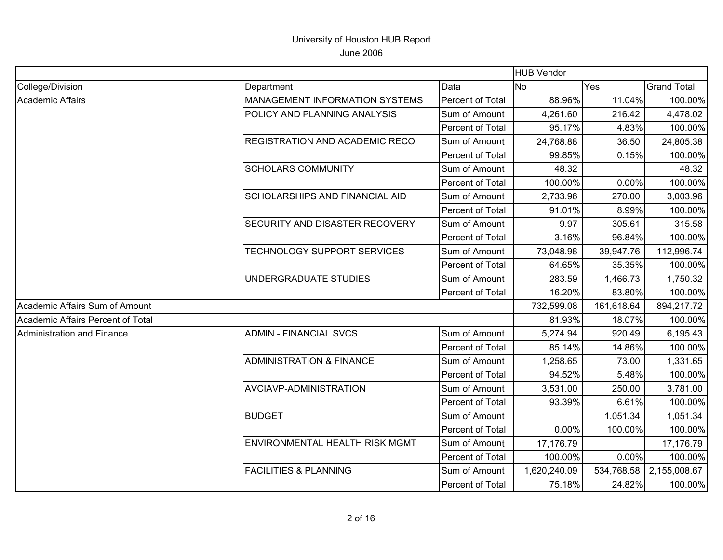|                                   |                                       |                  | <b>HUB Vendor</b> |            |                    |
|-----------------------------------|---------------------------------------|------------------|-------------------|------------|--------------------|
| College/Division                  | Department                            | Data             | <b>No</b>         | Yes        | <b>Grand Total</b> |
| <b>Academic Affairs</b>           | <b>MANAGEMENT INFORMATION SYSTEMS</b> | Percent of Total | 88.96%            | 11.04%     | 100.00%            |
|                                   | POLICY AND PLANNING ANALYSIS          | Sum of Amount    | 4,261.60          | 216.42     | 4,478.02           |
|                                   |                                       | Percent of Total | 95.17%            | 4.83%      | 100.00%            |
|                                   | <b>REGISTRATION AND ACADEMIC RECO</b> | Sum of Amount    | 24,768.88         | 36.50      | 24,805.38          |
|                                   |                                       | Percent of Total | 99.85%            | 0.15%      | 100.00%            |
|                                   | <b>SCHOLARS COMMUNITY</b>             | Sum of Amount    | 48.32             |            | 48.32              |
|                                   |                                       | Percent of Total | 100.00%           | 0.00%      | 100.00%            |
|                                   | SCHOLARSHIPS AND FINANCIAL AID        | Sum of Amount    | 2,733.96          | 270.00     | 3,003.96           |
|                                   |                                       | Percent of Total | 91.01%            | 8.99%      | 100.00%            |
|                                   | <b>SECURITY AND DISASTER RECOVERY</b> | Sum of Amount    | 9.97              | 305.61     | 315.58             |
|                                   |                                       | Percent of Total | 3.16%             | 96.84%     | 100.00%            |
|                                   | TECHNOLOGY SUPPORT SERVICES           | Sum of Amount    | 73,048.98         | 39,947.76  | 112,996.74         |
|                                   |                                       | Percent of Total | 64.65%            | 35.35%     | 100.00%            |
|                                   | UNDERGRADUATE STUDIES                 | Sum of Amount    | 283.59            | 1,466.73   | 1,750.32           |
|                                   |                                       | Percent of Total | 16.20%            | 83.80%     | 100.00%            |
| Academic Affairs Sum of Amount    |                                       |                  | 732,599.08        | 161,618.64 | 894,217.72         |
| Academic Affairs Percent of Total |                                       |                  | 81.93%            | 18.07%     | 100.00%            |
| Administration and Finance        | <b>ADMIN - FINANCIAL SVCS</b>         | Sum of Amount    | 5,274.94          | 920.49     | 6,195.43           |
|                                   |                                       | Percent of Total | 85.14%            | 14.86%     | 100.00%            |
|                                   | <b>ADMINISTRATION &amp; FINANCE</b>   | Sum of Amount    | 1,258.65          | 73.00      | 1,331.65           |
|                                   |                                       | Percent of Total | 94.52%            | 5.48%      | 100.00%            |
|                                   | AVCIAVP-ADMINISTRATION                | Sum of Amount    | 3,531.00          | 250.00     | 3,781.00           |
|                                   |                                       | Percent of Total | 93.39%            | 6.61%      | 100.00%            |
|                                   | <b>BUDGET</b>                         | Sum of Amount    |                   | 1,051.34   | 1,051.34           |
|                                   |                                       | Percent of Total | 0.00%             | 100.00%    | 100.00%            |
|                                   | <b>ENVIRONMENTAL HEALTH RISK MGMT</b> | Sum of Amount    | 17,176.79         |            | 17,176.79          |
|                                   |                                       | Percent of Total | 100.00%           | 0.00%      | 100.00%            |
|                                   | <b>FACILITIES &amp; PLANNING</b>      | Sum of Amount    | 1,620,240.09      | 534,768.58 | 2,155,008.67       |
|                                   |                                       | Percent of Total | 75.18%            | 24.82%     | 100.00%            |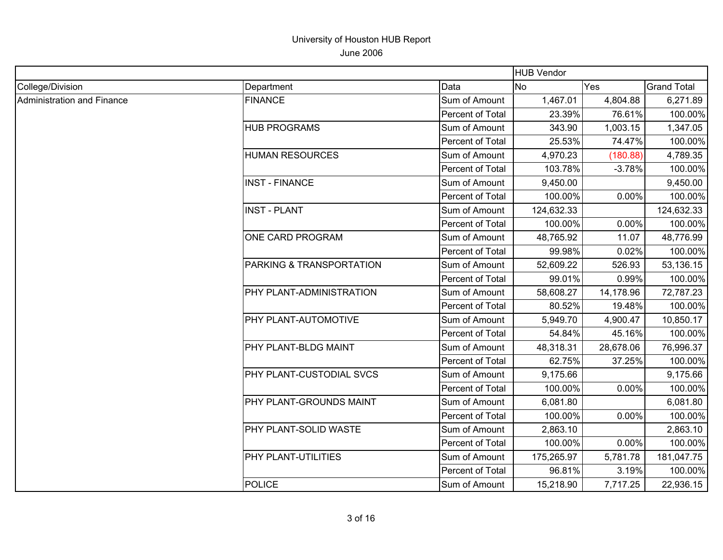|                            |                          |                  | <b>HUB Vendor</b> |           |                    |
|----------------------------|--------------------------|------------------|-------------------|-----------|--------------------|
| College/Division           | Department               | Data             | <b>No</b>         | Yes       | <b>Grand Total</b> |
| Administration and Finance | <b>FINANCE</b>           | Sum of Amount    | 1,467.01          | 4,804.88  | 6,271.89           |
|                            |                          | Percent of Total | 23.39%            | 76.61%    | 100.00%            |
|                            | <b>HUB PROGRAMS</b>      | Sum of Amount    | 343.90            | 1,003.15  | 1,347.05           |
|                            |                          | Percent of Total | 25.53%            | 74.47%    | 100.00%            |
|                            | <b>HUMAN RESOURCES</b>   | Sum of Amount    | 4,970.23          | (180.88)  | 4,789.35           |
|                            |                          | Percent of Total | 103.78%           | $-3.78%$  | 100.00%            |
|                            | <b>INST - FINANCE</b>    | Sum of Amount    | 9,450.00          |           | 9,450.00           |
|                            |                          | Percent of Total | 100.00%           | 0.00%     | 100.00%            |
|                            | <b>INST - PLANT</b>      | Sum of Amount    | 124,632.33        |           | 124,632.33         |
|                            |                          | Percent of Total | 100.00%           | 0.00%     | 100.00%            |
|                            | ONE CARD PROGRAM         | Sum of Amount    | 48,765.92         | 11.07     | 48,776.99          |
|                            |                          | Percent of Total | 99.98%            | 0.02%     | 100.00%            |
|                            | PARKING & TRANSPORTATION | Sum of Amount    | 52,609.22         | 526.93    | 53,136.15          |
|                            |                          | Percent of Total | 99.01%            | 0.99%     | 100.00%            |
|                            | PHY PLANT-ADMINISTRATION | Sum of Amount    | 58,608.27         | 14,178.96 | 72,787.23          |
|                            |                          | Percent of Total | 80.52%            | 19.48%    | 100.00%            |
|                            | PHY PLANT-AUTOMOTIVE     | Sum of Amount    | 5,949.70          | 4,900.47  | 10,850.17          |
|                            |                          | Percent of Total | 54.84%            | 45.16%    | 100.00%            |
|                            | PHY PLANT-BLDG MAINT     | Sum of Amount    | 48,318.31         | 28,678.06 | 76,996.37          |
|                            |                          | Percent of Total | 62.75%            | 37.25%    | 100.00%            |
|                            | PHY PLANT-CUSTODIAL SVCS | Sum of Amount    | 9,175.66          |           | 9,175.66           |
|                            |                          | Percent of Total | 100.00%           | 0.00%     | 100.00%            |
|                            | PHY PLANT-GROUNDS MAINT  | Sum of Amount    | 6,081.80          |           | 6,081.80           |
|                            |                          | Percent of Total | 100.00%           | 0.00%     | 100.00%            |
|                            | PHY PLANT-SOLID WASTE    | Sum of Amount    | 2,863.10          |           | 2,863.10           |
|                            |                          | Percent of Total | 100.00%           | 0.00%     | 100.00%            |
|                            | PHY PLANT-UTILITIES      | Sum of Amount    | 175,265.97        | 5,781.78  | 181,047.75         |
|                            |                          | Percent of Total | 96.81%            | 3.19%     | 100.00%            |
|                            | <b>POLICE</b>            | Sum of Amount    | 15,218.90         | 7,717.25  | 22,936.15          |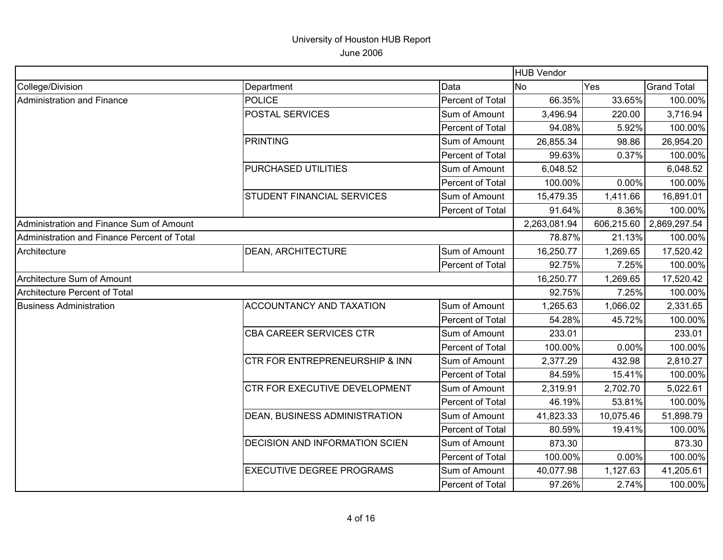|                                             |                                  |                  | <b>HUB Vendor</b> |            |                    |
|---------------------------------------------|----------------------------------|------------------|-------------------|------------|--------------------|
| College/Division                            | Department                       | Data             | IN <sub>O</sub>   | Yes        | <b>Grand Total</b> |
| Administration and Finance                  | <b>POLICE</b>                    | Percent of Total | 66.35%            | 33.65%     | 100.00%            |
|                                             | POSTAL SERVICES                  | Sum of Amount    | 3,496.94          | 220.00     | 3,716.94           |
|                                             |                                  | Percent of Total | 94.08%            | 5.92%      | 100.00%            |
|                                             | <b>PRINTING</b>                  | Sum of Amount    | 26,855.34         | 98.86      | 26,954.20          |
|                                             |                                  | Percent of Total | 99.63%            | 0.37%      | 100.00%            |
|                                             | PURCHASED UTILITIES              | Sum of Amount    | 6,048.52          |            | 6,048.52           |
|                                             |                                  | Percent of Total | 100.00%           | 0.00%      | 100.00%            |
|                                             | STUDENT FINANCIAL SERVICES       | Sum of Amount    | 15,479.35         | 1,411.66   | 16,891.01          |
|                                             |                                  | Percent of Total | 91.64%            | 8.36%      | 100.00%            |
| Administration and Finance Sum of Amount    |                                  |                  | 2,263,081.94      | 606,215.60 | 2,869,297.54       |
| Administration and Finance Percent of Total |                                  |                  | 78.87%            | 21.13%     | 100.00%            |
| Architecture                                | <b>DEAN, ARCHITECTURE</b>        | Sum of Amount    | 16,250.77         | 1,269.65   | 17,520.42          |
|                                             |                                  | Percent of Total | 92.75%            | 7.25%      | 100.00%            |
| Architecture Sum of Amount                  |                                  |                  | 16,250.77         | 1,269.65   | 17,520.42          |
| Architecture Percent of Total               |                                  |                  | 92.75%            | 7.25%      | 100.00%            |
| <b>Business Administration</b>              | ACCOUNTANCY AND TAXATION         | Sum of Amount    | 1,265.63          | 1,066.02   | 2,331.65           |
|                                             |                                  | Percent of Total | 54.28%            | 45.72%     | 100.00%            |
|                                             | CBA CAREER SERVICES CTR          | Sum of Amount    | 233.01            |            | 233.01             |
|                                             |                                  | Percent of Total | 100.00%           | 0.00%      | 100.00%            |
|                                             | CTR FOR ENTREPRENEURSHIP & INN   | Sum of Amount    | 2,377.29          | 432.98     | 2,810.27           |
|                                             |                                  | Percent of Total | 84.59%            | 15.41%     | 100.00%            |
|                                             | CTR FOR EXECUTIVE DEVELOPMENT    | Sum of Amount    | 2,319.91          | 2,702.70   | 5,022.61           |
|                                             |                                  | Percent of Total | 46.19%            | 53.81%     | 100.00%            |
|                                             | DEAN, BUSINESS ADMINISTRATION    | Sum of Amount    | 41,823.33         | 10,075.46  | 51,898.79          |
|                                             |                                  | Percent of Total | 80.59%            | 19.41%     | 100.00%            |
|                                             | DECISION AND INFORMATION SCIEN   | Sum of Amount    | 873.30            |            | 873.30             |
|                                             |                                  | Percent of Total | 100.00%           | 0.00%      | 100.00%            |
|                                             | <b>EXECUTIVE DEGREE PROGRAMS</b> | Sum of Amount    | 40,077.98         | 1,127.63   | 41,205.61          |
|                                             |                                  | Percent of Total | 97.26%            | 2.74%      | 100.00%            |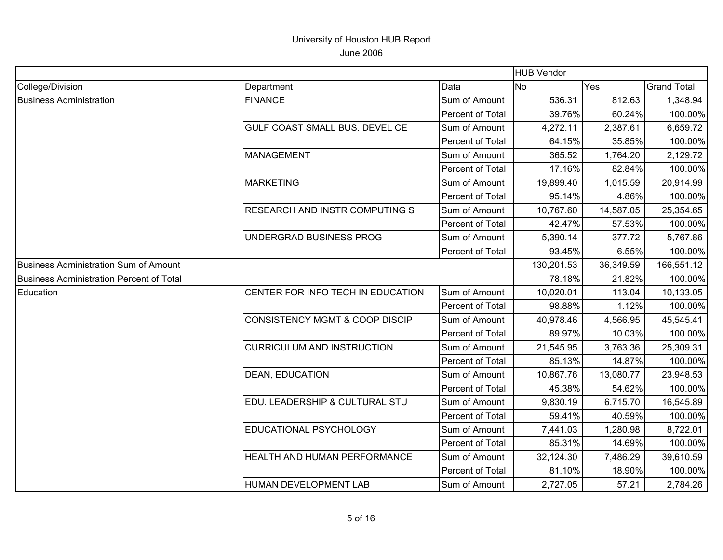|                                          |                                           | <b>HUB Vendor</b> |            |           |                    |
|------------------------------------------|-------------------------------------------|-------------------|------------|-----------|--------------------|
| College/Division                         | Department                                | Data              | <b>No</b>  | Yes       | <b>Grand Total</b> |
| <b>Business Administration</b>           | <b>FINANCE</b>                            | Sum of Amount     | 536.31     | 812.63    | 1,348.94           |
|                                          |                                           | Percent of Total  | 39.76%     | 60.24%    | 100.00%            |
|                                          | GULF COAST SMALL BUS. DEVEL CE            | Sum of Amount     | 4,272.11   | 2,387.61  | 6,659.72           |
|                                          |                                           | Percent of Total  | 64.15%     | 35.85%    | 100.00%            |
|                                          | MANAGEMENT                                | Sum of Amount     | 365.52     | 1,764.20  | 2,129.72           |
|                                          |                                           | Percent of Total  | 17.16%     | 82.84%    | 100.00%            |
|                                          | <b>MARKETING</b>                          | Sum of Amount     | 19,899.40  | 1,015.59  | 20,914.99          |
|                                          |                                           | Percent of Total  | 95.14%     | 4.86%     | 100.00%            |
|                                          | RESEARCH AND INSTR COMPUTING S            | Sum of Amount     | 10,767.60  | 14,587.05 | 25,354.65          |
|                                          |                                           | Percent of Total  | 42.47%     | 57.53%    | 100.00%            |
|                                          | UNDERGRAD BUSINESS PROG                   | Sum of Amount     | 5,390.14   | 377.72    | 5,767.86           |
|                                          |                                           | Percent of Total  | 93.45%     | 6.55%     | 100.00%            |
| Business Administration Sum of Amount    |                                           |                   | 130,201.53 | 36,349.59 | 166,551.12         |
| Business Administration Percent of Total |                                           |                   | 78.18%     | 21.82%    | 100.00%            |
| Education                                | CENTER FOR INFO TECH IN EDUCATION         | Sum of Amount     | 10,020.01  | 113.04    | 10,133.05          |
|                                          |                                           | Percent of Total  | 98.88%     | 1.12%     | 100.00%            |
|                                          | <b>CONSISTENCY MGMT &amp; COOP DISCIP</b> | Sum of Amount     | 40,978.46  | 4,566.95  | 45,545.41          |
|                                          |                                           | Percent of Total  | 89.97%     | 10.03%    | 100.00%            |
|                                          | <b>CURRICULUM AND INSTRUCTION</b>         | Sum of Amount     | 21,545.95  | 3,763.36  | 25,309.31          |
|                                          |                                           | Percent of Total  | 85.13%     | 14.87%    | 100.00%            |
|                                          | <b>DEAN, EDUCATION</b>                    | Sum of Amount     | 10,867.76  | 13,080.77 | 23,948.53          |
|                                          |                                           | Percent of Total  | 45.38%     | 54.62%    | 100.00%            |
|                                          | EDU. LEADERSHIP & CULTURAL STU            | Sum of Amount     | 9,830.19   | 6,715.70  | 16,545.89          |
|                                          |                                           | Percent of Total  | 59.41%     | 40.59%    | 100.00%            |
|                                          | EDUCATIONAL PSYCHOLOGY                    | Sum of Amount     | 7,441.03   | 1,280.98  | 8,722.01           |
|                                          |                                           | Percent of Total  | 85.31%     | 14.69%    | 100.00%            |
|                                          | HEALTH AND HUMAN PERFORMANCE              | Sum of Amount     | 32,124.30  | 7,486.29  | 39,610.59          |
|                                          |                                           | Percent of Total  | 81.10%     | 18.90%    | 100.00%            |
|                                          | HUMAN DEVELOPMENT LAB                     | Sum of Amount     | 2,727.05   | 57.21     | 2,784.26           |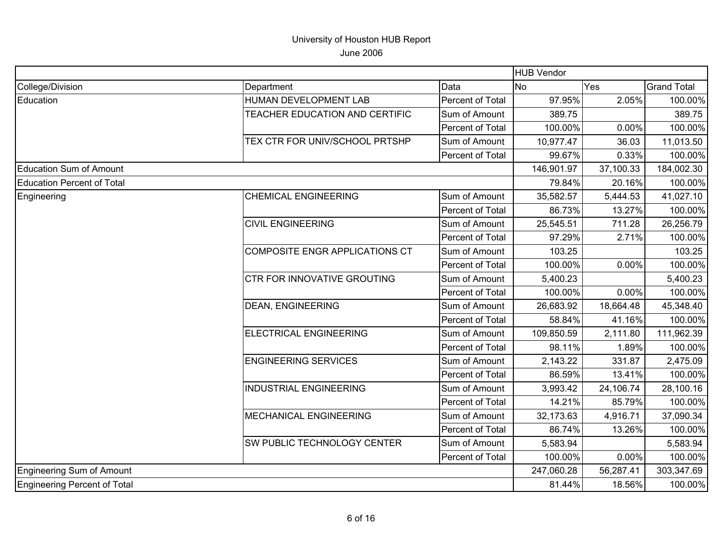|                                   |                                    |                         | <b>HUB Vendor</b> |           |                    |
|-----------------------------------|------------------------------------|-------------------------|-------------------|-----------|--------------------|
| College/Division                  | Department                         | Data                    | No                | Yes       | <b>Grand Total</b> |
| Education                         | HUMAN DEVELOPMENT LAB              | <b>Percent of Total</b> | 97.95%            | 2.05%     | 100.00%            |
|                                   | TEACHER EDUCATION AND CERTIFIC     | Sum of Amount           | 389.75            |           | 389.75             |
|                                   |                                    | Percent of Total        | 100.00%           | 0.00%     | 100.00%            |
|                                   | TEX CTR FOR UNIV/SCHOOL PRTSHP     | Sum of Amount           | 10,977.47         | 36.03     | 11,013.50          |
|                                   |                                    | Percent of Total        | 99.67%            | 0.33%     | 100.00%            |
| Education Sum of Amount           |                                    |                         | 146,901.97        | 37,100.33 | 184,002.30         |
| <b>Education Percent of Total</b> |                                    |                         | 79.84%            | 20.16%    | 100.00%            |
| Engineering                       | <b>CHEMICAL ENGINEERING</b>        | Sum of Amount           | 35,582.57         | 5,444.53  | 41,027.10          |
|                                   |                                    | Percent of Total        | 86.73%            | 13.27%    | 100.00%            |
|                                   | <b>CIVIL ENGINEERING</b>           | Sum of Amount           | 25,545.51         | 711.28    | 26,256.79          |
|                                   |                                    | Percent of Total        | 97.29%            | 2.71%     | 100.00%            |
|                                   | COMPOSITE ENGR APPLICATIONS CT     | Sum of Amount           | 103.25            |           | 103.25             |
|                                   |                                    | Percent of Total        | 100.00%           | 0.00%     | 100.00%            |
|                                   | <b>CTR FOR INNOVATIVE GROUTING</b> | Sum of Amount           | 5,400.23          |           | 5,400.23           |
|                                   |                                    | Percent of Total        | 100.00%           | 0.00%     | 100.00%            |
|                                   | <b>DEAN, ENGINEERING</b>           | Sum of Amount           | 26,683.92         | 18,664.48 | 45,348.40          |
|                                   |                                    | Percent of Total        | 58.84%            | 41.16%    | 100.00%            |
|                                   | <b>ELECTRICAL ENGINEERING</b>      | Sum of Amount           | 109,850.59        | 2,111.80  | 111,962.39         |
|                                   |                                    | Percent of Total        | 98.11%            | 1.89%     | 100.00%            |
|                                   | <b>ENGINEERING SERVICES</b>        | Sum of Amount           | 2,143.22          | 331.87    | 2,475.09           |
|                                   |                                    | Percent of Total        | 86.59%            | 13.41%    | 100.00%            |
|                                   | <b>INDUSTRIAL ENGINEERING</b>      | Sum of Amount           | 3,993.42          | 24,106.74 | 28,100.16          |
|                                   |                                    | Percent of Total        | 14.21%            | 85.79%    | 100.00%            |
|                                   | <b>MECHANICAL ENGINEERING</b>      | Sum of Amount           | 32,173.63         | 4,916.71  | 37,090.34          |
|                                   |                                    | Percent of Total        | 86.74%            | 13.26%    | 100.00%            |
|                                   | SW PUBLIC TECHNOLOGY CENTER        | Sum of Amount           | 5,583.94          |           | 5,583.94           |
|                                   |                                    | Percent of Total        | 100.00%           | 0.00%     | 100.00%            |
| Engineering Sum of Amount         |                                    |                         | 247,060.28        | 56,287.41 | 303,347.69         |
| Engineering Percent of Total      |                                    |                         | 81.44%            | 18.56%    | 100.00%            |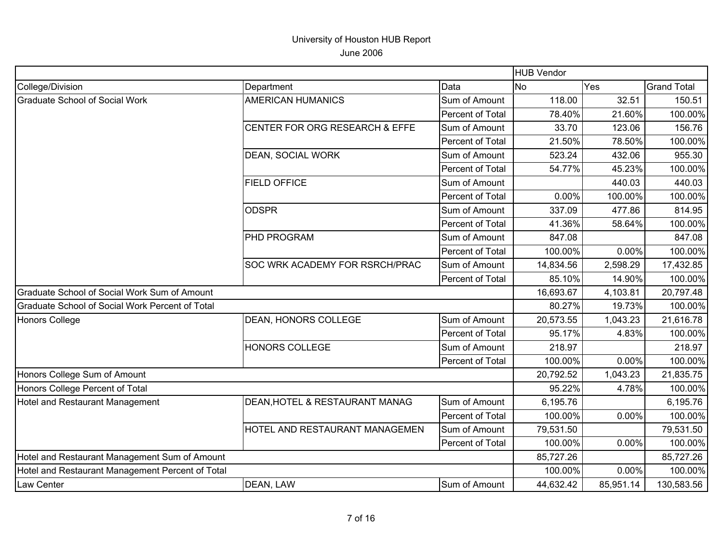|                                                  |                                |                  | <b>HUB Vendor</b> |           |                    |
|--------------------------------------------------|--------------------------------|------------------|-------------------|-----------|--------------------|
| College/Division                                 | Department                     | Data             | <b>No</b>         | Yes       | <b>Grand Total</b> |
| <b>Graduate School of Social Work</b>            | <b>AMERICAN HUMANICS</b>       | Sum of Amount    | 118.00            | 32.51     | 150.51             |
|                                                  |                                | Percent of Total | 78.40%            | 21.60%    | 100.00%            |
|                                                  | CENTER FOR ORG RESEARCH & EFFE | Sum of Amount    | 33.70             | 123.06    | 156.76             |
|                                                  |                                | Percent of Total | 21.50%            | 78.50%    | 100.00%            |
|                                                  | <b>DEAN, SOCIAL WORK</b>       | Sum of Amount    | 523.24            | 432.06    | 955.30             |
|                                                  |                                | Percent of Total | 54.77%            | 45.23%    | 100.00%            |
|                                                  | <b>FIELD OFFICE</b>            | Sum of Amount    |                   | 440.03    | 440.03             |
|                                                  |                                | Percent of Total | 0.00%             | 100.00%   | 100.00%            |
|                                                  | <b>ODSPR</b>                   | Sum of Amount    | 337.09            | 477.86    | 814.95             |
|                                                  |                                | Percent of Total | 41.36%            | 58.64%    | 100.00%            |
|                                                  | PHD PROGRAM                    | Sum of Amount    | 847.08            |           | 847.08             |
|                                                  |                                | Percent of Total | 100.00%           | 0.00%     | 100.00%            |
|                                                  | SOC WRK ACADEMY FOR RSRCH/PRAC | Sum of Amount    | 14,834.56         | 2,598.29  | 17,432.85          |
|                                                  |                                | Percent of Total | 85.10%            | 14.90%    | 100.00%            |
| Graduate School of Social Work Sum of Amount     |                                |                  | 16,693.67         | 4,103.81  | 20,797.48          |
| Graduate School of Social Work Percent of Total  |                                |                  | 80.27%            | 19.73%    | 100.00%            |
| Honors College                                   | DEAN, HONORS COLLEGE           | Sum of Amount    | 20,573.55         | 1,043.23  | 21,616.78          |
|                                                  |                                | Percent of Total | 95.17%            | 4.83%     | 100.00%            |
|                                                  | <b>HONORS COLLEGE</b>          | Sum of Amount    | 218.97            |           | 218.97             |
|                                                  |                                | Percent of Total | 100.00%           | 0.00%     | 100.00%            |
| Honors College Sum of Amount                     |                                |                  | 20,792.52         | 1,043.23  | 21,835.75          |
| Honors College Percent of Total                  |                                |                  | 95.22%            | 4.78%     | 100.00%            |
| Hotel and Restaurant Management                  | DEAN, HOTEL & RESTAURANT MANAG | Sum of Amount    | 6,195.76          |           | 6,195.76           |
|                                                  |                                | Percent of Total | 100.00%           | 0.00%     | 100.00%            |
|                                                  | HOTEL AND RESTAURANT MANAGEMEN | Sum of Amount    | 79,531.50         |           | 79,531.50          |
|                                                  |                                | Percent of Total | 100.00%           | 0.00%     | 100.00%            |
| Hotel and Restaurant Management Sum of Amount    |                                |                  | 85,727.26         |           | 85,727.26          |
| Hotel and Restaurant Management Percent of Total |                                |                  | 100.00%           | 0.00%     | 100.00%            |
| Law Center                                       | DEAN, LAW                      | Sum of Amount    | 44,632.42         | 85,951.14 | 130,583.56         |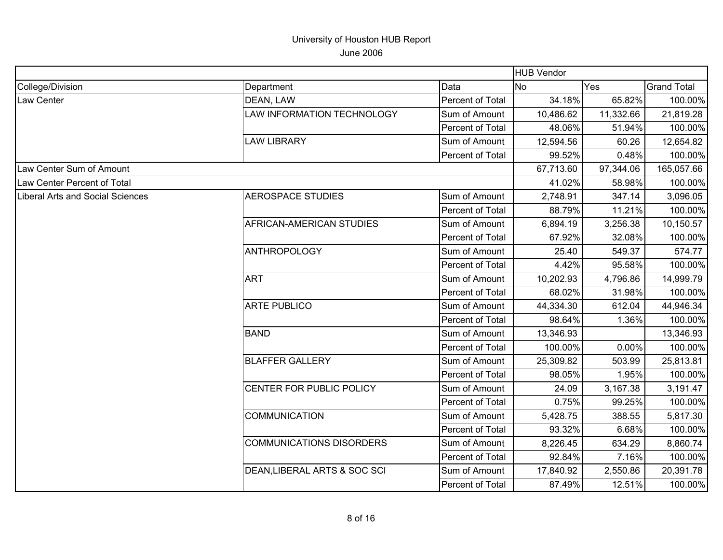|                                  |                                 |                  | <b>HUB Vendor</b> |           |                    |
|----------------------------------|---------------------------------|------------------|-------------------|-----------|--------------------|
| College/Division                 | Department                      | Data             | No.               | Yes       | <b>Grand Total</b> |
| Law Center                       | DEAN, LAW                       | Percent of Total | 34.18%            | 65.82%    | 100.00%            |
|                                  | LAW INFORMATION TECHNOLOGY      | Sum of Amount    | 10,486.62         | 11,332.66 | 21,819.28          |
|                                  |                                 | Percent of Total | 48.06%            | 51.94%    | 100.00%            |
|                                  | <b>LAW LIBRARY</b>              | Sum of Amount    | 12,594.56         | 60.26     | 12,654.82          |
|                                  |                                 | Percent of Total | 99.52%            | 0.48%     | 100.00%            |
| Law Center Sum of Amount         |                                 |                  | 67,713.60         | 97,344.06 | 165,057.66         |
| Law Center Percent of Total      |                                 |                  | 41.02%            | 58.98%    | 100.00%            |
| Liberal Arts and Social Sciences | <b>AEROSPACE STUDIES</b>        | Sum of Amount    | 2,748.91          | 347.14    | 3,096.05           |
|                                  |                                 | Percent of Total | 88.79%            | 11.21%    | 100.00%            |
|                                  | AFRICAN-AMERICAN STUDIES        | Sum of Amount    | 6,894.19          | 3,256.38  | 10,150.57          |
|                                  |                                 | Percent of Total | 67.92%            | 32.08%    | 100.00%            |
|                                  | <b>ANTHROPOLOGY</b>             | Sum of Amount    | 25.40             | 549.37    | 574.77             |
|                                  |                                 | Percent of Total | 4.42%             | 95.58%    | 100.00%            |
|                                  | <b>ART</b>                      | Sum of Amount    | 10,202.93         | 4,796.86  | 14,999.79          |
|                                  |                                 | Percent of Total | 68.02%            | 31.98%    | 100.00%            |
|                                  | <b>ARTE PUBLICO</b>             | Sum of Amount    | 44,334.30         | 612.04    | 44,946.34          |
|                                  |                                 | Percent of Total | 98.64%            | 1.36%     | 100.00%            |
|                                  | <b>BAND</b>                     | Sum of Amount    | 13,346.93         |           | 13,346.93          |
|                                  |                                 | Percent of Total | 100.00%           | 0.00%     | 100.00%            |
|                                  | <b>BLAFFER GALLERY</b>          | Sum of Amount    | 25,309.82         | 503.99    | 25,813.81          |
|                                  |                                 | Percent of Total | 98.05%            | 1.95%     | 100.00%            |
|                                  | CENTER FOR PUBLIC POLICY        | Sum of Amount    | 24.09             | 3,167.38  | 3,191.47           |
|                                  |                                 | Percent of Total | 0.75%             | 99.25%    | 100.00%            |
|                                  | COMMUNICATION                   | Sum of Amount    | 5,428.75          | 388.55    | 5,817.30           |
|                                  |                                 | Percent of Total | 93.32%            | 6.68%     | 100.00%            |
|                                  | <b>COMMUNICATIONS DISORDERS</b> | Sum of Amount    | 8,226.45          | 634.29    | 8,860.74           |
|                                  |                                 | Percent of Total | 92.84%            | 7.16%     | 100.00%            |
|                                  | DEAN, LIBERAL ARTS & SOC SCI    | Sum of Amount    | 17,840.92         | 2,550.86  | 20,391.78          |
|                                  |                                 | Percent of Total | 87.49%            | 12.51%    | 100.00%            |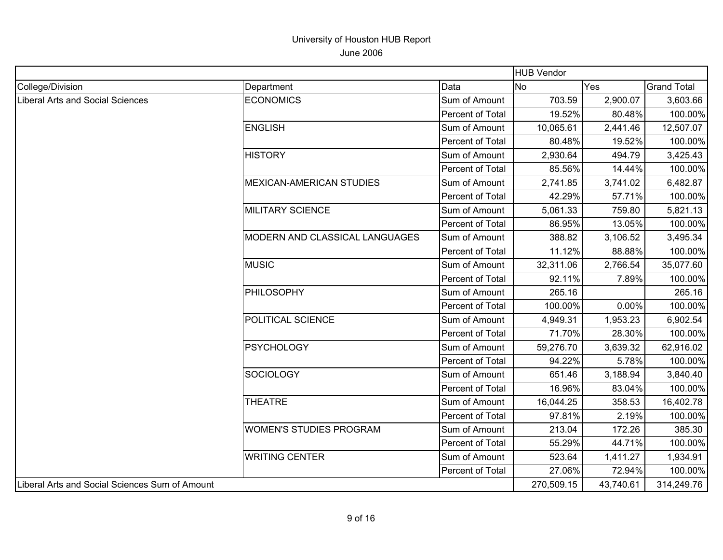|                                                |                                       |                  | <b>HUB Vendor</b> |           |                    |
|------------------------------------------------|---------------------------------------|------------------|-------------------|-----------|--------------------|
| College/Division                               | Department                            | Data             | No                | Yes       | <b>Grand Total</b> |
| Liberal Arts and Social Sciences               | <b>ECONOMICS</b>                      | Sum of Amount    | 703.59            | 2,900.07  | 3,603.66           |
|                                                |                                       | Percent of Total | 19.52%            | 80.48%    | 100.00%            |
|                                                | <b>ENGLISH</b>                        | Sum of Amount    | 10,065.61         | 2,441.46  | 12,507.07          |
|                                                |                                       | Percent of Total | 80.48%            | 19.52%    | 100.00%            |
|                                                | <b>HISTORY</b>                        | Sum of Amount    | 2,930.64          | 494.79    | 3,425.43           |
|                                                |                                       | Percent of Total | 85.56%            | 14.44%    | 100.00%            |
|                                                | <b>MEXICAN-AMERICAN STUDIES</b>       | Sum of Amount    | 2,741.85          | 3,741.02  | 6,482.87           |
|                                                |                                       | Percent of Total | 42.29%            | 57.71%    | 100.00%            |
|                                                | MILITARY SCIENCE                      | Sum of Amount    | 5,061.33          | 759.80    | 5,821.13           |
|                                                |                                       | Percent of Total | 86.95%            | 13.05%    | 100.00%            |
|                                                | <b>MODERN AND CLASSICAL LANGUAGES</b> | Sum of Amount    | 388.82            | 3,106.52  | 3,495.34           |
|                                                |                                       | Percent of Total | 11.12%            | 88.88%    | 100.00%            |
|                                                | <b>MUSIC</b>                          | Sum of Amount    | 32,311.06         | 2,766.54  | 35,077.60          |
|                                                |                                       | Percent of Total | 92.11%            | 7.89%     | 100.00%            |
|                                                | <b>PHILOSOPHY</b>                     | Sum of Amount    | 265.16            |           | 265.16             |
|                                                |                                       | Percent of Total | 100.00%           | 0.00%     | 100.00%            |
|                                                | POLITICAL SCIENCE                     | Sum of Amount    | 4,949.31          | 1,953.23  | 6,902.54           |
|                                                |                                       | Percent of Total | 71.70%            | 28.30%    | 100.00%            |
|                                                | <b>PSYCHOLOGY</b>                     | Sum of Amount    | 59,276.70         | 3,639.32  | 62,916.02          |
|                                                |                                       | Percent of Total | 94.22%            | 5.78%     | 100.00%            |
|                                                | <b>SOCIOLOGY</b>                      | Sum of Amount    | 651.46            | 3,188.94  | 3,840.40           |
|                                                |                                       | Percent of Total | 16.96%            | 83.04%    | 100.00%            |
|                                                | <b>THEATRE</b>                        | Sum of Amount    | 16,044.25         | 358.53    | 16,402.78          |
|                                                |                                       | Percent of Total | 97.81%            | 2.19%     | 100.00%            |
|                                                | <b>WOMEN'S STUDIES PROGRAM</b>        | Sum of Amount    | 213.04            | 172.26    | 385.30             |
|                                                |                                       | Percent of Total | 55.29%            | 44.71%    | 100.00%            |
|                                                | <b>WRITING CENTER</b>                 | Sum of Amount    | 523.64            | 1,411.27  | 1,934.91           |
|                                                |                                       | Percent of Total | 27.06%            | 72.94%    | 100.00%            |
| Liberal Arts and Social Sciences Sum of Amount |                                       |                  | 270,509.15        | 43,740.61 | 314,249.76         |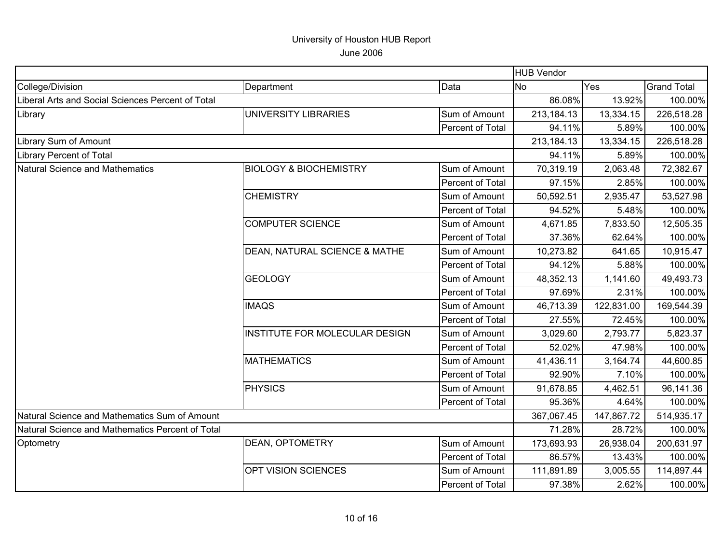|                                                   |                                   |                         | <b>HUB Vendor</b> |            |                    |
|---------------------------------------------------|-----------------------------------|-------------------------|-------------------|------------|--------------------|
| College/Division                                  | Department                        | Data                    | <b>No</b>         | <b>Yes</b> | <b>Grand Total</b> |
| Liberal Arts and Social Sciences Percent of Total |                                   |                         | 86.08%            | 13.92%     | 100.00%            |
| Library                                           | UNIVERSITY LIBRARIES              | Sum of Amount           | 213,184.13        | 13,334.15  | 226,518.28         |
|                                                   | Percent of Total                  |                         | 94.11%            | 5.89%      | 100.00%            |
| Library Sum of Amount                             |                                   |                         | 213,184.13        | 13,334.15  | 226,518.28         |
| Library Percent of Total                          |                                   |                         | 94.11%            | 5.89%      | 100.00%            |
| Natural Science and Mathematics                   | <b>BIOLOGY &amp; BIOCHEMISTRY</b> | Sum of Amount           | 70,319.19         | 2,063.48   | 72,382.67          |
|                                                   |                                   | Percent of Total        | 97.15%            | 2.85%      | 100.00%            |
|                                                   | <b>CHEMISTRY</b>                  | Sum of Amount           | 50,592.51         | 2,935.47   | 53,527.98          |
|                                                   |                                   | Percent of Total        | 94.52%            | 5.48%      | 100.00%            |
|                                                   | <b>COMPUTER SCIENCE</b>           | Sum of Amount           | 4,671.85          | 7,833.50   | 12,505.35          |
|                                                   |                                   | Percent of Total        | 37.36%            | 62.64%     | 100.00%            |
|                                                   | DEAN, NATURAL SCIENCE & MATHE     | Sum of Amount           | 10,273.82         | 641.65     | 10,915.47          |
|                                                   |                                   | Percent of Total        | 94.12%            | 5.88%      | 100.00%            |
|                                                   | <b>GEOLOGY</b>                    | Sum of Amount           | 48,352.13         | 1,141.60   | 49,493.73          |
|                                                   |                                   | Percent of Total        | 97.69%            | 2.31%      | 100.00%            |
|                                                   | <b>IMAQS</b>                      | Sum of Amount           | 46,713.39         | 122,831.00 | 169,544.39         |
|                                                   |                                   | Percent of Total        | 27.55%            | 72.45%     | 100.00%            |
|                                                   | INSTITUTE FOR MOLECULAR DESIGN    | Sum of Amount           | 3,029.60          | 2,793.77   | 5,823.37           |
|                                                   |                                   | Percent of Total        | 52.02%            | 47.98%     | 100.00%            |
|                                                   | <b>MATHEMATICS</b>                | Sum of Amount           | 41,436.11         | 3,164.74   | 44,600.85          |
|                                                   |                                   | Percent of Total        | 92.90%            | 7.10%      | 100.00%            |
|                                                   | PHYSICS                           | Sum of Amount           | 91,678.85         | 4,462.51   | 96,141.36          |
|                                                   |                                   | <b>Percent of Total</b> | 95.36%            | 4.64%      | 100.00%            |
| Natural Science and Mathematics Sum of Amount     |                                   |                         | 367,067.45        | 147,867.72 | 514,935.17         |
| Natural Science and Mathematics Percent of Total  |                                   |                         | 71.28%            | 28.72%     | 100.00%            |
| Optometry                                         | DEAN, OPTOMETRY                   | Sum of Amount           | 173,693.93        | 26,938.04  | 200,631.97         |
|                                                   |                                   | Percent of Total        | 86.57%            | 13.43%     | 100.00%            |
|                                                   | OPT VISION SCIENCES               | Sum of Amount           | 111,891.89        | 3,005.55   | 114,897.44         |
|                                                   |                                   | Percent of Total        | 97.38%            | 2.62%      | 100.00%            |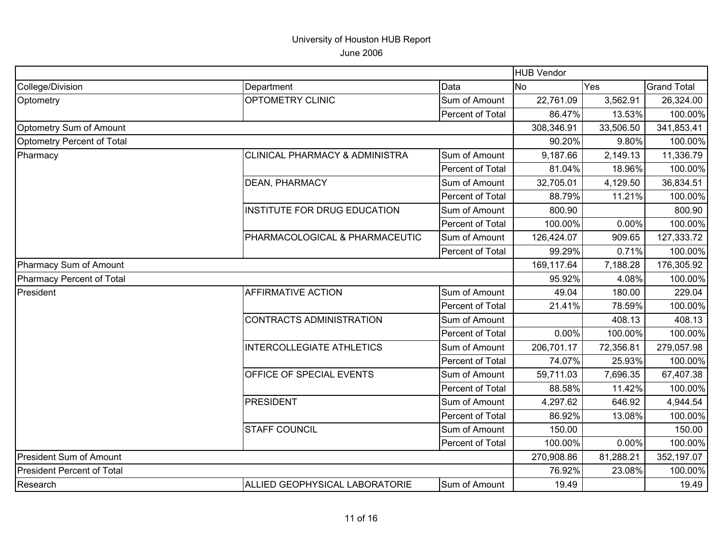|                                   |                                           |                  | HUB Vendor |           |                    |
|-----------------------------------|-------------------------------------------|------------------|------------|-----------|--------------------|
| College/Division                  | Department                                | Data             | <b>No</b>  | Yes       | <b>Grand Total</b> |
| Optometry                         | OPTOMETRY CLINIC                          | Sum of Amount    | 22,761.09  | 3,562.91  | 26,324.00          |
|                                   |                                           | Percent of Total | 86.47%     | 13.53%    | 100.00%            |
| Optometry Sum of Amount           |                                           |                  | 308,346.91 | 33,506.50 | 341,853.41         |
| Optometry Percent of Total        |                                           |                  | 90.20%     | 9.80%     | 100.00%            |
| Pharmacy                          | <b>CLINICAL PHARMACY &amp; ADMINISTRA</b> | Sum of Amount    | 9,187.66   | 2,149.13  | 11,336.79          |
|                                   |                                           | Percent of Total | 81.04%     | 18.96%    | 100.00%            |
|                                   | <b>DEAN, PHARMACY</b>                     | Sum of Amount    | 32,705.01  | 4,129.50  | 36,834.51          |
|                                   |                                           | Percent of Total | 88.79%     | 11.21%    | 100.00%            |
|                                   | <b>INSTITUTE FOR DRUG EDUCATION</b>       | Sum of Amount    | 800.90     |           | 800.90             |
|                                   |                                           | Percent of Total | 100.00%    | 0.00%     | 100.00%            |
|                                   | PHARMACOLOGICAL & PHARMACEUTIC            | Sum of Amount    | 126,424.07 | 909.65    | 127,333.72         |
|                                   |                                           | Percent of Total | 99.29%     | 0.71%     | 100.00%            |
| Pharmacy Sum of Amount            |                                           |                  | 169,117.64 | 7,188.28  | 176,305.92         |
| Pharmacy Percent of Total         |                                           |                  | 95.92%     | 4.08%     | 100.00%            |
| President                         | <b>AFFIRMATIVE ACTION</b>                 | Sum of Amount    | 49.04      | 180.00    | 229.04             |
|                                   |                                           | Percent of Total | 21.41%     | 78.59%    | 100.00%            |
|                                   | <b>CONTRACTS ADMINISTRATION</b>           | Sum of Amount    |            | 408.13    | 408.13             |
|                                   |                                           | Percent of Total | 0.00%      | 100.00%   | 100.00%            |
|                                   | <b>INTERCOLLEGIATE ATHLETICS</b>          | Sum of Amount    | 206,701.17 | 72,356.81 | 279,057.98         |
|                                   |                                           | Percent of Total | 74.07%     | 25.93%    | 100.00%            |
|                                   | OFFICE OF SPECIAL EVENTS                  | Sum of Amount    | 59,711.03  | 7,696.35  | 67,407.38          |
|                                   |                                           | Percent of Total | 88.58%     | 11.42%    | 100.00%            |
|                                   | <b>PRESIDENT</b>                          | Sum of Amount    | 4,297.62   | 646.92    | 4,944.54           |
|                                   |                                           | Percent of Total | 86.92%     | 13.08%    | 100.00%            |
|                                   | <b>STAFF COUNCIL</b>                      | Sum of Amount    | 150.00     |           | 150.00             |
|                                   |                                           | Percent of Total | 100.00%    | 0.00%     | 100.00%            |
| <b>President Sum of Amount</b>    |                                           |                  | 270,908.86 | 81,288.21 | 352,197.07         |
| <b>President Percent of Total</b> |                                           |                  | 76.92%     | 23.08%    | 100.00%            |
| Research                          | ALLIED GEOPHYSICAL LABORATORIE            | Sum of Amount    | 19.49      |           | 19.49              |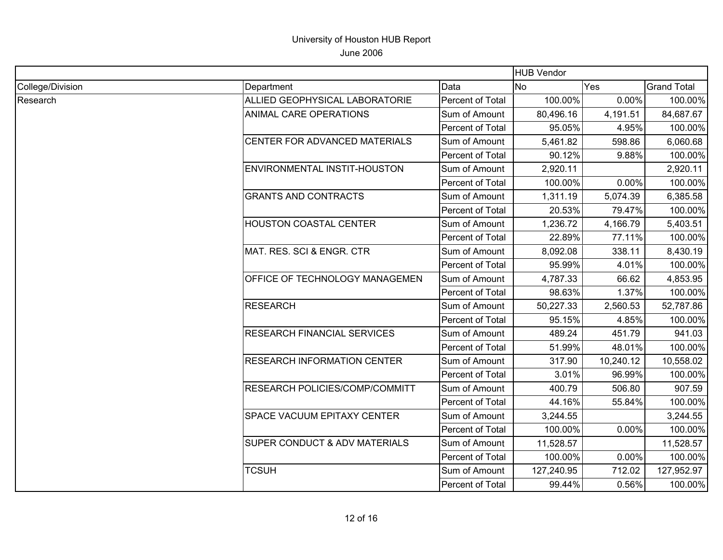|                  |                                    |                  | <b>HUB Vendor</b> |           |                    |
|------------------|------------------------------------|------------------|-------------------|-----------|--------------------|
| College/Division | Department                         | Data             | <b>No</b>         | Yes       | <b>Grand Total</b> |
| Research         | ALLIED GEOPHYSICAL LABORATORIE     | Percent of Total | 100.00%           | $0.00\%$  | 100.00%            |
|                  | ANIMAL CARE OPERATIONS             | Sum of Amount    | 80,496.16         | 4,191.51  | 84,687.67          |
|                  |                                    | Percent of Total | 95.05%            | 4.95%     | 100.00%            |
|                  | CENTER FOR ADVANCED MATERIALS      | Sum of Amount    | 5,461.82          | 598.86    | 6,060.68           |
|                  |                                    | Percent of Total | 90.12%            | 9.88%     | 100.00%            |
|                  | ENVIRONMENTAL INSTIT-HOUSTON       | Sum of Amount    | 2,920.11          |           | 2,920.11           |
|                  |                                    | Percent of Total | 100.00%           | 0.00%     | 100.00%            |
|                  | <b>GRANTS AND CONTRACTS</b>        | Sum of Amount    | 1,311.19          | 5,074.39  | 6,385.58           |
|                  |                                    | Percent of Total | 20.53%            | 79.47%    | 100.00%            |
|                  | <b>HOUSTON COASTAL CENTER</b>      | Sum of Amount    | 1,236.72          | 4,166.79  | 5,403.51           |
|                  |                                    | Percent of Total | 22.89%            | 77.11%    | 100.00%            |
|                  | MAT. RES. SCI & ENGR. CTR          | Sum of Amount    | 8,092.08          | 338.11    | 8,430.19           |
|                  |                                    | Percent of Total | 95.99%            | 4.01%     | 100.00%            |
|                  | OFFICE OF TECHNOLOGY MANAGEMEN     | Sum of Amount    | 4,787.33          | 66.62     | 4,853.95           |
|                  |                                    | Percent of Total | 98.63%            | 1.37%     | 100.00%            |
|                  | <b>RESEARCH</b>                    | Sum of Amount    | 50,227.33         | 2,560.53  | 52,787.86          |
|                  |                                    | Percent of Total | 95.15%            | 4.85%     | 100.00%            |
|                  | <b>RESEARCH FINANCIAL SERVICES</b> | Sum of Amount    | 489.24            | 451.79    | 941.03             |
|                  |                                    | Percent of Total | 51.99%            | 48.01%    | 100.00%            |
|                  | <b>RESEARCH INFORMATION CENTER</b> | Sum of Amount    | 317.90            | 10,240.12 | 10,558.02          |
|                  |                                    | Percent of Total | 3.01%             | 96.99%    | 100.00%            |
|                  | RESEARCH POLICIES/COMP/COMMITT     | Sum of Amount    | 400.79            | 506.80    | 907.59             |
|                  |                                    | Percent of Total | 44.16%            | 55.84%    | 100.00%            |
|                  | SPACE VACUUM EPITAXY CENTER        | Sum of Amount    | 3,244.55          |           | 3,244.55           |
|                  |                                    | Percent of Total | 100.00%           | 0.00%     | 100.00%            |
|                  | SUPER CONDUCT & ADV MATERIALS      | Sum of Amount    | 11,528.57         |           | 11,528.57          |
|                  |                                    | Percent of Total | 100.00%           | 0.00%     | 100.00%            |
|                  | <b>TCSUH</b>                       | Sum of Amount    | 127,240.95        | 712.02    | 127,952.97         |
|                  |                                    | Percent of Total | 99.44%            | 0.56%     | 100.00%            |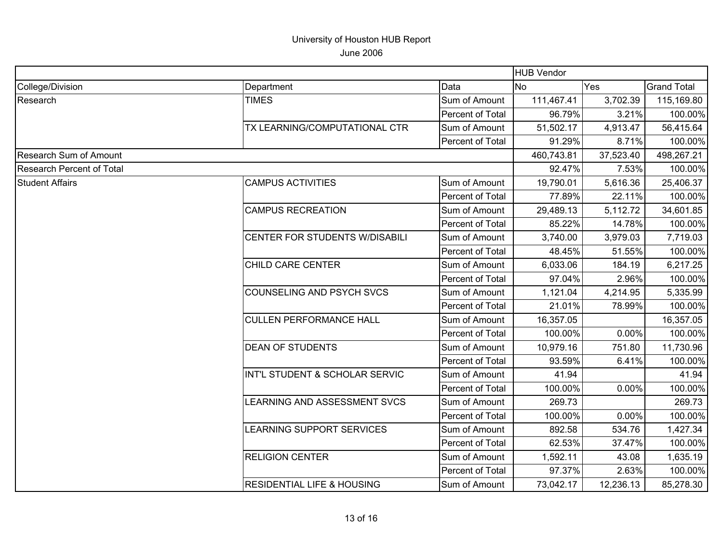|                                  |                                       | <b>HUB Vendor</b> |                  |           |                    |
|----------------------------------|---------------------------------------|-------------------|------------------|-----------|--------------------|
| College/Division                 | Department                            | Data              | Yes<br><b>No</b> |           | <b>Grand Total</b> |
| Research                         | <b>TIMES</b>                          | Sum of Amount     | 111,467.41       | 3,702.39  | 115,169.80         |
|                                  |                                       | Percent of Total  | 96.79%           | 3.21%     | 100.00%            |
|                                  | TX LEARNING/COMPUTATIONAL CTR         | Sum of Amount     | 51,502.17        | 4,913.47  | 56,415.64          |
|                                  |                                       | Percent of Total  | 91.29%           | 8.71%     | 100.00%            |
| Research Sum of Amount           |                                       |                   | 460,743.81       | 37,523.40 | 498,267.21         |
| <b>Research Percent of Total</b> |                                       |                   | 92.47%           | 7.53%     | 100.00%            |
| <b>Student Affairs</b>           | <b>CAMPUS ACTIVITIES</b>              | Sum of Amount     | 19,790.01        | 5,616.36  | 25,406.37          |
|                                  |                                       | Percent of Total  | 77.89%           | 22.11%    | 100.00%            |
|                                  | <b>CAMPUS RECREATION</b>              | Sum of Amount     | 29,489.13        | 5,112.72  | 34,601.85          |
|                                  |                                       | Percent of Total  | 85.22%           | 14.78%    | 100.00%            |
|                                  | CENTER FOR STUDENTS W/DISABILI        | Sum of Amount     | 3,740.00         | 3,979.03  | 7,719.03           |
|                                  |                                       | Percent of Total  | 48.45%           | 51.55%    | 100.00%            |
|                                  | CHILD CARE CENTER                     | Sum of Amount     | 6,033.06         | 184.19    | 6,217.25           |
|                                  |                                       | Percent of Total  | 97.04%           | 2.96%     | 100.00%            |
|                                  | COUNSELING AND PSYCH SVCS             | Sum of Amount     | 1,121.04         | 4,214.95  | 5,335.99           |
|                                  |                                       | Percent of Total  | 21.01%           | 78.99%    | 100.00%            |
|                                  | <b>CULLEN PERFORMANCE HALL</b>        | Sum of Amount     | 16,357.05        |           | 16,357.05          |
|                                  |                                       | Percent of Total  | 100.00%          | 0.00%     | 100.00%            |
|                                  | <b>DEAN OF STUDENTS</b>               | Sum of Amount     | 10,979.16        | 751.80    | 11,730.96          |
|                                  |                                       | Percent of Total  | 93.59%           | 6.41%     | 100.00%            |
|                                  | INT'L STUDENT & SCHOLAR SERVIC        | Sum of Amount     | 41.94            |           | 41.94              |
|                                  |                                       | Percent of Total  | 100.00%          | 0.00%     | 100.00%            |
|                                  | LEARNING AND ASSESSMENT SVCS          | Sum of Amount     | 269.73           |           | 269.73             |
|                                  |                                       | Percent of Total  | 100.00%          | 0.00%     | 100.00%            |
|                                  | LEARNING SUPPORT SERVICES             | Sum of Amount     | 892.58           | 534.76    | 1,427.34           |
|                                  |                                       | Percent of Total  | 62.53%           | 37.47%    | 100.00%            |
|                                  | <b>RELIGION CENTER</b>                | Sum of Amount     | 1,592.11         | 43.08     | 1,635.19           |
|                                  |                                       | Percent of Total  | 97.37%           | 2.63%     | 100.00%            |
|                                  | <b>RESIDENTIAL LIFE &amp; HOUSING</b> | Sum of Amount     | 73,042.17        | 12,236.13 | 85,278.30          |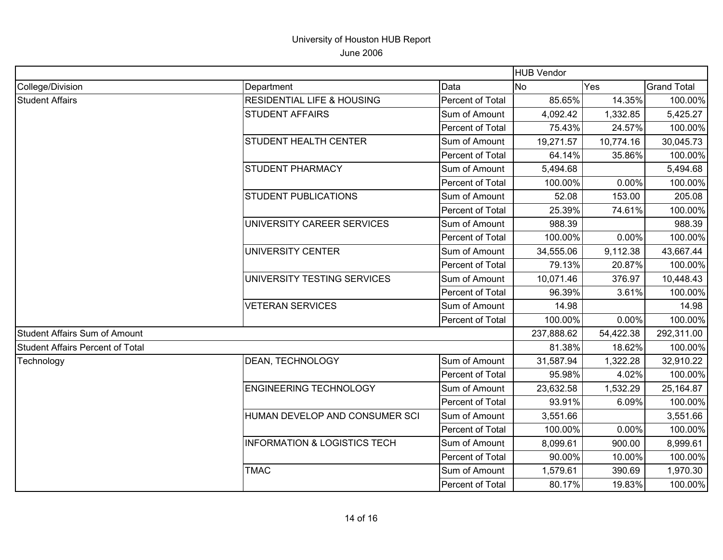|                                         |                                         |                  | <b>HUB Vendor</b> |            |                    |
|-----------------------------------------|-----------------------------------------|------------------|-------------------|------------|--------------------|
| College/Division                        | Department                              | Data             | <b>No</b>         | Yes        | <b>Grand Total</b> |
| <b>Student Affairs</b>                  | <b>RESIDENTIAL LIFE &amp; HOUSING</b>   | Percent of Total | 85.65%            | 14.35%     | 100.00%            |
|                                         | <b>STUDENT AFFAIRS</b>                  | Sum of Amount    | 4,092.42          | 1,332.85   | 5,425.27           |
|                                         |                                         | Percent of Total | 75.43%            | 24.57%     | 100.00%            |
|                                         | <b>STUDENT HEALTH CENTER</b>            | Sum of Amount    | 19,271.57         | 10,774.16  | 30,045.73          |
|                                         |                                         | Percent of Total | 64.14%            | 35.86%     | 100.00%            |
|                                         | <b>STUDENT PHARMACY</b>                 | Sum of Amount    | 5,494.68          |            | 5,494.68           |
|                                         |                                         | Percent of Total | 100.00%           | 0.00%      | 100.00%            |
|                                         | <b>STUDENT PUBLICATIONS</b>             | Sum of Amount    | 52.08             | 153.00     | 205.08             |
|                                         |                                         | Percent of Total | 25.39%            | 74.61%     | 100.00%            |
|                                         | UNIVERSITY CAREER SERVICES              | Sum of Amount    | 988.39            |            | 988.39             |
|                                         |                                         | Percent of Total | 100.00%           | 0.00%      | 100.00%            |
|                                         | UNIVERSITY CENTER                       | Sum of Amount    | 34,555.06         | 9,112.38   | 43,667.44          |
|                                         |                                         | Percent of Total | 79.13%            | 20.87%     | 100.00%            |
|                                         | UNIVERSITY TESTING SERVICES             | Sum of Amount    | 10,071.46         | 376.97     | 10,448.43          |
|                                         |                                         | Percent of Total | 96.39%            | 3.61%      | 100.00%            |
|                                         | <b>VETERAN SERVICES</b>                 | Sum of Amount    | 14.98             |            | 14.98              |
|                                         |                                         | Percent of Total | 100.00%           | 0.00%      | 100.00%            |
| Student Affairs Sum of Amount           |                                         | 237,888.62       | 54,422.38         | 292,311.00 |                    |
| <b>Student Affairs Percent of Total</b> |                                         |                  | 81.38%            | 18.62%     | 100.00%            |
| Technology                              | DEAN, TECHNOLOGY                        | Sum of Amount    | 31,587.94         | 1,322.28   | 32,910.22          |
|                                         |                                         | Percent of Total | 95.98%            | 4.02%      | 100.00%            |
|                                         | <b>ENGINEERING TECHNOLOGY</b>           | Sum of Amount    | 23,632.58         | 1,532.29   | 25,164.87          |
|                                         |                                         | Percent of Total | 93.91%            | 6.09%      | 100.00%            |
|                                         | HUMAN DEVELOP AND CONSUMER SCI          | Sum of Amount    | 3,551.66          |            | 3,551.66           |
|                                         |                                         | Percent of Total | 100.00%           | 0.00%      | 100.00%            |
|                                         | <b>INFORMATION &amp; LOGISTICS TECH</b> | Sum of Amount    | 8,099.61          | 900.00     | 8,999.61           |
|                                         |                                         | Percent of Total | 90.00%            | 10.00%     | 100.00%            |
|                                         | <b>TMAC</b>                             | Sum of Amount    | 1,579.61          | 390.69     | 1,970.30           |
|                                         |                                         | Percent of Total | 80.17%            | 19.83%     | 100.00%            |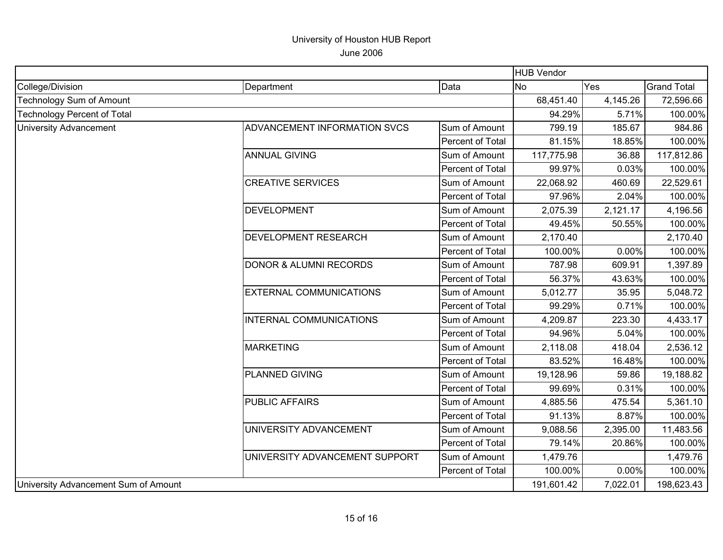|                                      |                                   |                  | <b>HUB Vendor</b> |          |                    |
|--------------------------------------|-----------------------------------|------------------|-------------------|----------|--------------------|
| College/Division                     | Department                        | Data             | No                | Yes      | <b>Grand Total</b> |
| Technology Sum of Amount             |                                   |                  | 68,451.40         | 4,145.26 | 72,596.66          |
| <b>Technology Percent of Total</b>   |                                   |                  | 94.29%            | 5.71%    | 100.00%            |
| <b>University Advancement</b>        | ADVANCEMENT INFORMATION SVCS      | Sum of Amount    | 799.19            | 185.67   | 984.86             |
|                                      |                                   | Percent of Total | 81.15%            | 18.85%   | 100.00%            |
|                                      | <b>ANNUAL GIVING</b>              | Sum of Amount    | 117,775.98        | 36.88    | 117,812.86         |
|                                      |                                   | Percent of Total | 99.97%            | 0.03%    | 100.00%            |
|                                      | <b>CREATIVE SERVICES</b>          | Sum of Amount    | 22,068.92         | 460.69   | 22,529.61          |
|                                      |                                   | Percent of Total | 97.96%            | 2.04%    | 100.00%            |
|                                      | <b>DEVELOPMENT</b>                | Sum of Amount    | 2,075.39          | 2,121.17 | 4,196.56           |
|                                      |                                   | Percent of Total | 49.45%            | 50.55%   | 100.00%            |
|                                      | <b>DEVELOPMENT RESEARCH</b>       | Sum of Amount    | 2,170.40          |          | 2,170.40           |
|                                      |                                   | Percent of Total | 100.00%           | 0.00%    | 100.00%            |
|                                      | <b>DONOR &amp; ALUMNI RECORDS</b> | Sum of Amount    | 787.98            | 609.91   | 1,397.89           |
|                                      |                                   | Percent of Total | 56.37%            | 43.63%   | 100.00%            |
|                                      | <b>EXTERNAL COMMUNICATIONS</b>    | Sum of Amount    | 5,012.77          | 35.95    | 5,048.72           |
|                                      |                                   | Percent of Total | 99.29%            | 0.71%    | 100.00%            |
|                                      | INTERNAL COMMUNICATIONS           | Sum of Amount    | 4,209.87          | 223.30   | 4,433.17           |
|                                      |                                   | Percent of Total | 94.96%            | 5.04%    | 100.00%            |
|                                      | <b>MARKETING</b>                  | Sum of Amount    | 2,118.08          | 418.04   | 2,536.12           |
|                                      |                                   | Percent of Total | 83.52%            | 16.48%   | 100.00%            |
|                                      | <b>PLANNED GIVING</b>             | Sum of Amount    | 19,128.96         | 59.86    | 19,188.82          |
|                                      |                                   | Percent of Total | 99.69%            | 0.31%    | 100.00%            |
|                                      | <b>PUBLIC AFFAIRS</b>             | Sum of Amount    | 4,885.56          | 475.54   | 5,361.10           |
|                                      |                                   | Percent of Total | 91.13%            | 8.87%    | 100.00%            |
|                                      | UNIVERSITY ADVANCEMENT            | Sum of Amount    | 9,088.56          | 2,395.00 | 11,483.56          |
|                                      |                                   | Percent of Total | 79.14%            | 20.86%   | 100.00%            |
|                                      | UNIVERSITY ADVANCEMENT SUPPORT    | Sum of Amount    | 1,479.76          |          | 1,479.76           |
|                                      |                                   | Percent of Total | 100.00%           | 0.00%    | 100.00%            |
| University Advancement Sum of Amount |                                   |                  | 191,601.42        | 7,022.01 | 198,623.43         |